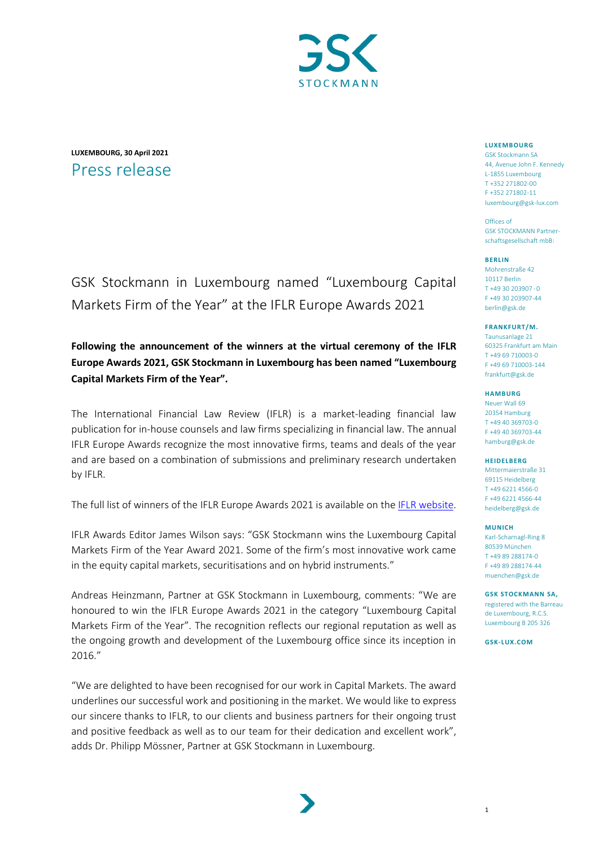

## **LUXEMBOURG, 30 April 2021** Press release

# GSK Stockmann in Luxembourg named "Luxembourg Capital Markets Firm of the Year" at the IFLR Europe Awards 2021

## **Following the announcement of the winners at the virtual ceremony of the IFLR Europe Awards 2021, GSK Stockmann in Luxembourg has been named "Luxembourg Capital Markets Firm of the Year".**

The International Financial Law Review (IFLR) is a market-leading financial law publication for in-house counsels and law firms specializing in financial law. The annual IFLR Europe Awards recognize the most innovative firms, teams and deals of the year and are based on a combination of submissions and preliminary research undertaken by IFLR.

The full list of winners of the IFLR Europe Awards 2021 is available on th[e IFLR website.](https://www.iflr.com/)

IFLR Awards Editor James Wilson says: "GSK Stockmann wins the Luxembourg Capital Markets Firm of the Year Award 2021. Some of the firm's most innovative work came in the equity capital markets, securitisations and on hybrid instruments."

Andreas Heinzmann, Partner at GSK Stockmann in Luxembourg, comments: "We are honoured to win the IFLR Europe Awards 2021 in the category "Luxembourg Capital Markets Firm of the Year". The recognition reflects our regional reputation as well as the ongoing growth and development of the Luxembourg office since its inception in 2016."

"We are delighted to have been recognised for our work in Capital Markets. The award underlines our successful work and positioning in the market. We would like to express our sincere thanks to IFLR, to our clients and business partners for their ongoing trust and positive feedback as well as to our team for their dedication and excellent work", adds Dr. Philipp Mössner, Partner at GSK Stockmann in Luxembourg.

#### **LUXEMBOURG**

GSK Stockmann SA 44, Avenue John F. Kennedy L-1855 Luxembourg T +352 271802-00 F +352 271802-11 [luxembourg@gsk-lux.com](mailto:luxembourg@gsk-lux.com)

Offices of GSK STOCKMANN Partnerschaftsgesellschaft mbB:

#### **BERLIN**

Mohrenstraße 42 10117 Berlin T +49 30 203907 - 0 F +49 30 203907-44 berlin@gsk.de

#### **FRANKFURT/M.**

Taunusanlage 21 60325 Frankfurt am Main T +49 69 710003-0 F +49 69 710003-144 frankfurt@gsk.de

#### **HAMBURG**

Neuer Wall 69 20354 Hamburg T +49 40 369703-0 F +49 40 369703-44 hamburg@gsk.de

**HEIDELBERG**

Mittermaierstraße 31 69115 Heidelberg T +49 6221 4566-0 F +49 6221 4566-44 [heidelberg@gsk.de](mailto:heidelberg@gsk.de)

#### **MUNICH**

Karl-Scharnagl-Ring 8 80539 München T +49 89 288174-0 F +49 89 288174-44 muenchen@gsk.de

**GSK STOCKMANN SA,** registered with the Barreau de Luxembourg, R.C.S. Luxembourg B 205 326

**GSK-LUX.COM**